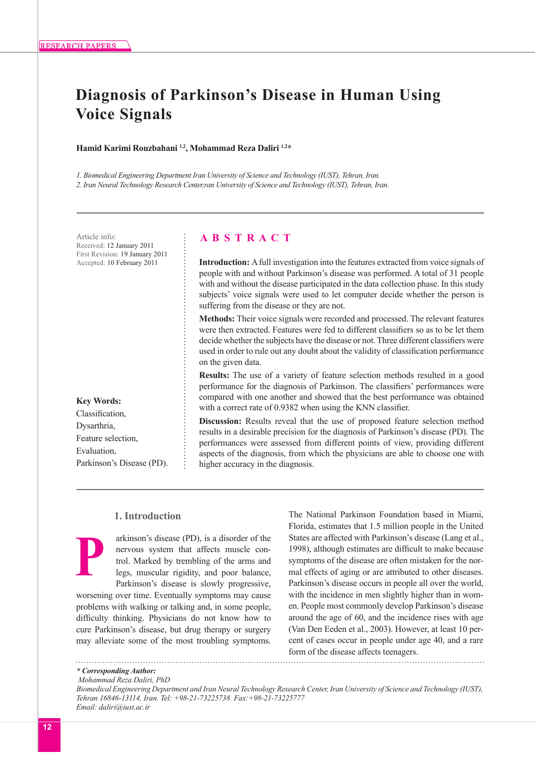# **Diagnosis of Parkinson's Disease in Human Using Voice Signals**

**Hamid Karimi Rouzbahani 1,2, Mohammad Reza Daliri 1,2\***

*1. Biomedical Engineering Department Iran University of Science and Technology (IUST), Tehran, Iran. 2. Iran Neural Technology Research Center,ran University of Science and Technology (IUST), Tehran, Iran.* 

Received: 12 January 2011 First Revision: 19 January 2011 Accepted: 10 February 2011

**Key Words:** Classification, Dysarthria, Feature selection, Evaluation, Parkinson's Disease (PD).

# Article info: **A B S T R A C T**

**Introduction:** A full investigation into the features extracted from voice signals of people with and without Parkinson's disease was performed. A total of 31 people with and without the disease participated in the data collection phase. In this study subjects' voice signals were used to let computer decide whether the person is suffering from the disease or they are not.

**Methods:** Their voice signals were recorded and processed. The relevant features were then extracted. Features were fed to different classifiers so as to be let them decide whether the subjects have the disease or not. Three different classifiers were used in order to rule out any doubt about the validity of classification performance on the given data.

**Results:** The use of a variety of feature selection methods resulted in a good performance for the diagnosis of Parkinson. The classifiers' performances were compared with one another and showed that the best performance was obtained with a correct rate of 0.9382 when using the KNN classifier.

**Discussion:** Results reveal that the use of proposed feature selection method results in a desirable precision for the diagnosis of Parkinson's disease (PD). The performances were assessed from different points of view, providing different aspects of the diagnosis, from which the physicians are able to choose one with higher accuracy in the diagnosis.

# **1. Introduction**

arkinson's disease (PD), is a disorder of the nervous system that affects muscle control. Marked by trembling of the arms and legs, muscular rigidity, and poor balance, Parkinson's disease is slowly progressive, **P**

worsening over time. Eventually symptoms may cause problems with walking or talking and, in some people, difficulty thinking. Physicians do not know how to cure Parkinson's disease, but drug therapy or surgery may alleviate some of the most troubling symptoms.

The National Parkinson Foundation based in Miami, Florida, estimates that 1.5 million people in the United States are affected with Parkinson's disease (Lang et al., 1998), although estimates are difficult to make because symptoms of the disease are often mistaken for the normal effects of aging or are attributed to other diseases. Parkinson's disease occurs in people all over the world, with the incidence in men slightly higher than in women. People most commonly develop Parkinson's disease around the age of 60, and the incidence rises with age (Van Den Eeden et al., 2003). However, at least 10 percent of cases occur in people under age 40, and a rare form of the disease affects teenagers.

 *Mohammad Reza Daliri, PhD*

*<sup>\*</sup> Corresponding Author:*

*Biomedical Engineering Department and Iran Neural Technology Research Center, Iran University of Science and Technology (IUST), Tehran 16846-13114, Iran. Tel: +98-21-73225738. Fax:+98-21-73225777 Email: daliri@iust.ac.ir*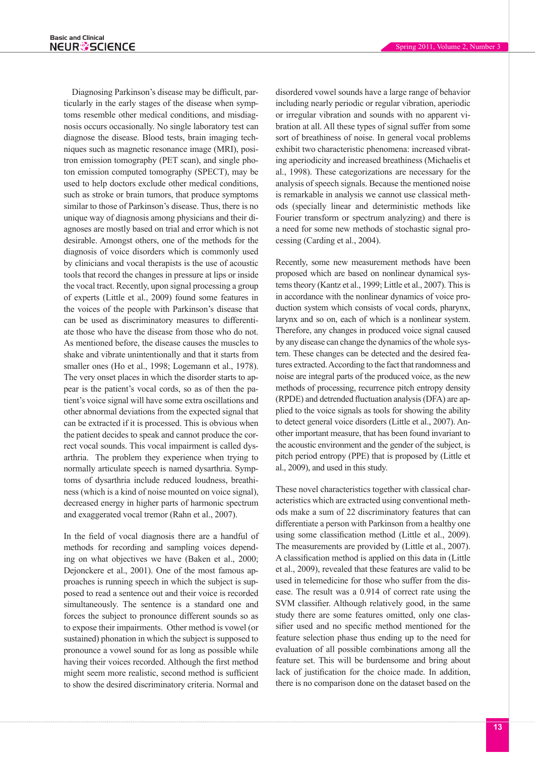Diagnosing Parkinson's disease may be difficult, particularly in the early stages of the disease when symptoms resemble other medical conditions, and misdiagnosis occurs occasionally. No single laboratory test can diagnose the disease. Blood tests, brain imaging techniques such as magnetic resonance image (MRI), positron emission tomography (PET scan), and single photon emission computed tomography (SPECT), may be used to help doctors exclude other medical conditions, such as stroke or brain tumors, that produce symptoms similar to those of Parkinson's disease. Thus, there is no unique way of diagnosis among physicians and their diagnoses are mostly based on trial and error which is not desirable. Amongst others, one of the methods for the diagnosis of voice disorders which is commonly used by clinicians and vocal therapists is the use of acoustic tools that record the changes in pressure at lips or inside the vocal tract. Recently, upon signal processing a group of experts (Little et al., 2009) found some features in the voices of the people with Parkinson's disease that can be used as discriminatory measures to differentiate those who have the disease from those who do not. As mentioned before, the disease causes the muscles to shake and vibrate unintentionally and that it starts from smaller ones (Ho et al., 1998; Logemann et al., 1978). The very onset places in which the disorder starts to appear is the patient's vocal cords, so as of then the patient's voice signal will have some extra oscillations and other abnormal deviations from the expected signal that can be extracted if it is processed. This is obvious when the patient decides to speak and cannot produce the correct vocal sounds. This vocal impairment is called dysarthria. The problem they experience when trying to normally articulate speech is named dysarthria. Symptoms of dysarthria include reduced loudness, breathiness (which is a kind of noise mounted on voice signal), decreased energy in higher parts of harmonic spectrum and exaggerated vocal tremor (Rahn et al., 2007).

In the field of vocal diagnosis there are a handful of methods for recording and sampling voices depending on what objectives we have (Baken et al., 2000; Dejonckere et al., 2001). One of the most famous approaches is running speech in which the subject is supposed to read a sentence out and their voice is recorded simultaneously. The sentence is a standard one and forces the subject to pronounce different sounds so as to expose their impairments. Other method is vowel (or sustained) phonation in which the subject is supposed to pronounce a vowel sound for as long as possible while having their voices recorded. Although the first method might seem more realistic, second method is sufficient to show the desired discriminatory criteria. Normal and

disordered vowel sounds have a large range of behavior including nearly periodic or regular vibration, aperiodic or irregular vibration and sounds with no apparent vibration at all. All these types of signal suffer from some sort of breathiness of noise. In general vocal problems exhibit two characteristic phenomena: increased vibrating aperiodicity and increased breathiness (Michaelis et al., 1998). These categorizations are necessary for the analysis of speech signals. Because the mentioned noise is remarkable in analysis we cannot use classical methods (specially linear and deterministic methods like Fourier transform or spectrum analyzing) and there is a need for some new methods of stochastic signal processing (Carding et al., 2004).

Recently, some new measurement methods have been proposed which are based on nonlinear dynamical systems theory (Kantz et al., 1999; Little et al., 2007). This is in accordance with the nonlinear dynamics of voice production system which consists of vocal cords, pharynx, larynx and so on, each of which is a nonlinear system. Therefore, any changes in produced voice signal caused by any disease can change the dynamics of the whole system. These changes can be detected and the desired features extracted. According to the fact that randomness and noise are integral parts of the produced voice, as the new methods of processing, recurrence pitch entropy density (RPDE) and detrended fluctuation analysis (DFA) are applied to the voice signals as tools for showing the ability to detect general voice disorders (Little et al., 2007). Another important measure, that has been found invariant to the acoustic environment and the gender of the subject, is pitch period entropy (PPE) that is proposed by (Little et al., 2009), and used in this study.

These novel characteristics together with classical characteristics which are extracted using conventional methods make a sum of 22 discriminatory features that can differentiate a person with Parkinson from a healthy one using some classification method (Little et al., 2009). The measurements are provided by (Little et al., 2007). A classification method is applied on this data in (Little et al., 2009), revealed that these features are valid to be used in telemedicine for those who suffer from the disease. The result was a 0.914 of correct rate using the SVM classifier. Although relatively good, in the same study there are some features omitted, only one classifier used and no specific method mentioned for the feature selection phase thus ending up to the need for evaluation of all possible combinations among all the feature set. This will be burdensome and bring about lack of justification for the choice made. In addition, there is no comparison done on the dataset based on the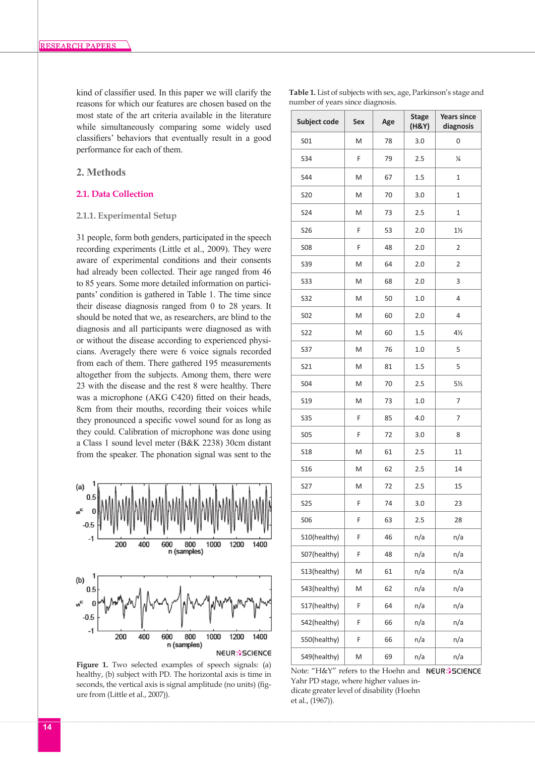kind of classifier used. In this paper we will clarify the reasons for which our features are chosen based on the most state of the art criteria available in the literature while simultaneously comparing some widely used classifiers' behaviors that eventually result in a good performance for each of them.

# **2. Methods**

# **2.1. Data Collection**

## **2.1.1. Experimental Setup**

31 people, form both genders, participated in the speech recording experiments (Little et al., 2009). They were aware of experimental conditions and their consents had already been collected. Their age ranged from 46 to 85 years. Some more detailed information on participants' condition is gathered in Table 1. The time since their disease diagnosis ranged from 0 to 28 years. It should be noted that we, as researchers, are blind to the diagnosis and all participants were diagnosed as with or without the disease according to experienced physicians. Averagely there were 6 voice signals recorded from each of them. There gathered 195 measurements altogether from the subjects. Among them, there were 23 with the disease and the rest 8 were healthy. There was a microphone (AKG C420) fitted on their heads, 8cm from their mouths, recording their voices while they pronounced a specific vowel sound for as long as they could. Calibration of microphone was done using a Class 1 sound level meter (B&K 2238) 30cm distant from the speaker. The phonation signal was sent to the



Figure 1. Two selected examples of speech signals: (a) healthy, (b) subject with PD. The horizontal axis is time in seconds, the vertical axis is signal amplitude (no units) (figure from (Little et al., 2007)).

| Subject code    | Sex | Age | <b>Stage</b><br>(H&Y) | <b>Years since</b><br>diagnosis |
|-----------------|-----|-----|-----------------------|---------------------------------|
| S01             | M   | 78  | 3.0                   | 0                               |
| S34             | F   | 79  | 2.5                   | ¼                               |
| <b>S44</b>      | M   | 67  | 1.5                   | 1                               |
| S20             | M   | 70  | 3.0                   | 1                               |
| S24             | M   | 73  | 2.5                   | 1                               |
| S <sub>26</sub> | F   | 53  | 2.0                   | $1\frac{1}{2}$                  |
| <b>S08</b>      | F   | 48  | 2.0                   | $\overline{2}$                  |
| S39             | M   | 64  | 2.0                   | 2                               |
| S33             | M   | 68  | 2.0                   | 3                               |
| <b>S32</b>      | M   | 50  | 1.0                   | 4                               |
| S02             | M   | 60  | 2.0                   | 4                               |
| S22             | M   | 60  | 1.5                   | 4½                              |
| S37             | M   | 76  | 1.0                   | 5                               |
| S21             | M   | 81  | 1.5                   | 5                               |
| S04             | M   | 70  | 2.5                   | $5\frac{1}{2}$                  |
| S19             | M   | 73  | 1.0                   | 7                               |
| <b>S35</b>      | F   | 85  | 4.0                   | 7                               |
| <b>S05</b>      | F   | 72  | 3.0                   | 8                               |
| <b>S18</b>      | M   | 61  | 2.5                   | 11                              |
| S16             | M   | 62  | 2.5                   | 14                              |
| S27             | M   | 72  | 2.5                   | 15                              |
| <b>S25</b>      | F   | 74  | 3.0                   | 23                              |
| <b>SO6</b>      | F   | 63  | 2.5                   | 28                              |
| S10(healthy)    | F   | 46  | n/a                   | n/a                             |
| S07(healthy)    | F   | 48  | n/a                   | n/a                             |
| S13(healthy)    | M   | 61  | n/a                   | n/a                             |
| S43(healthy)    | M   | 62  | n/a                   | n/a                             |
| S17(healthy)    | F   | 64  | n/a                   | n/a                             |
| S42(healthy)    | F   | 66  | n/a                   | n/a                             |
| S50(healthy)    | F   | 66  | n/a                   | n/a                             |
| S49(healthy)    | M   | 69  | n/a                   | n/a                             |

Note: "H&Y" refers to the Hoehn and NEUR®SCIENCE Yahr PD stage, where higher values indicate greater level of disability (Hoehn et al., (1967)).

**Table 1.** List of subjects with sex, age, Parkinson's stage and number of years since diagnosis.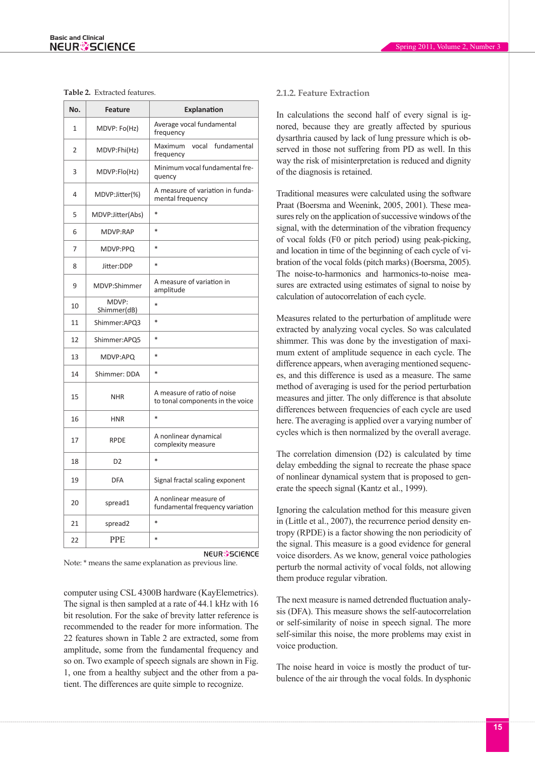#### **Table 2.** Extracted features.

| No.          | <b>Feature</b>       | Explanation                                                     |
|--------------|----------------------|-----------------------------------------------------------------|
| $\mathbf{1}$ | MDVP: Fo(Hz)         | Average vocal fundamental<br>frequency                          |
| 2            | MDVP:Fhi(Hz)         | vocal<br>fundamental<br>Maximum<br>frequency                    |
| 3            | MDVP:Flo(Hz)         | Minimum vocal fundamental fre-<br>quency                        |
| 4            | MDVP:Jitter(%)       | A measure of variation in funda-<br>mental frequency            |
| 5            | MDVP:Jitter(Abs)     | $\ast$                                                          |
| 6            | MDVP:RAP             | $\ast$                                                          |
| 7            | MDVP:PPQ             | $\ast$                                                          |
| 8            | Jitter:DDP           | $\ast$                                                          |
| 9            | MDVP:Shimmer         | A measure of variation in<br>amplitude                          |
| 10           | MDVP:<br>Shimmer(dB) | $\ast$                                                          |
| 11           | Shimmer:APQ3         | $\ast$                                                          |
| 12           | Shimmer:APQ5         | $\ast$                                                          |
| 13           | MDVP:APQ             | $\ast$                                                          |
| 14           | Shimmer: DDA         | $\ast$                                                          |
| 15           | <b>NHR</b>           | A measure of ratio of noise<br>to tonal components in the voice |
| 16           | <b>HNR</b>           | $\ast$                                                          |
| 17           | <b>RPDE</b>          | A nonlinear dynamical<br>complexity measure                     |
| 18           | D <sub>2</sub>       | $\ast$                                                          |
| 19           | <b>DFA</b>           | Signal fractal scaling exponent                                 |
| 20           | spread1              | A nonlinear measure of<br>fundamental frequency variation       |
| 21           | spread2              | $\ast$                                                          |
| 22           | <b>PPE</b>           | $\ast$                                                          |
|              |                      | <b>NEUR</b> SCIENCE                                             |

Note: \* means the same explanation as previous line.

computer using CSL 4300B hardware (KayElemetrics). The signal is then sampled at a rate of 44.1 kHz with 16 bit resolution. For the sake of brevity latter reference is recommended to the reader for more information. The 22 features shown in Table 2 are extracted, some from amplitude, some from the fundamental frequency and so on. Two example of speech signals are shown in Fig. 1, one from a healthy subject and the other from a patient. The differences are quite simple to recognize.

## **2.1.2. Feature Extraction**

In calculations the second half of every signal is ignored, because they are greatly affected by spurious dysarthria caused by lack of lung pressure which is observed in those not suffering from PD as well. In this way the risk of misinterpretation is reduced and dignity of the diagnosis is retained.

Traditional measures were calculated using the software Praat (Boersma and Weenink, 2005, 2001). These measures rely on the application of successive windows of the signal, with the determination of the vibration frequency of vocal folds (F0 or pitch period) using peak-picking, and location in time of the beginning of each cycle of vibration of the vocal folds (pitch marks) (Boersma, 2005). The noise-to-harmonics and harmonics-to-noise measures are extracted using estimates of signal to noise by calculation of autocorrelation of each cycle.

Measures related to the perturbation of amplitude were extracted by analyzing vocal cycles. So was calculated shimmer. This was done by the investigation of maximum extent of amplitude sequence in each cycle. The difference appears, when averaging mentioned sequences, and this difference is used as a measure. The same method of averaging is used for the period perturbation measures and jitter. The only difference is that absolute differences between frequencies of each cycle are used here. The averaging is applied over a varying number of cycles which is then normalized by the overall average.

The correlation dimension (D2) is calculated by time delay embedding the signal to recreate the phase space of nonlinear dynamical system that is proposed to generate the speech signal (Kantz et al., 1999).

Ignoring the calculation method for this measure given in (Little et al., 2007), the recurrence period density entropy (RPDE) is a factor showing the non periodicity of the signal. This measure is a good evidence for general voice disorders. As we know, general voice pathologies perturb the normal activity of vocal folds, not allowing them produce regular vibration.

The next measure is named detrended fluctuation analysis (DFA). This measure shows the self-autocorrelation or self-similarity of noise in speech signal. The more self-similar this noise, the more problems may exist in voice production.

The noise heard in voice is mostly the product of turbulence of the air through the vocal folds. In dysphonic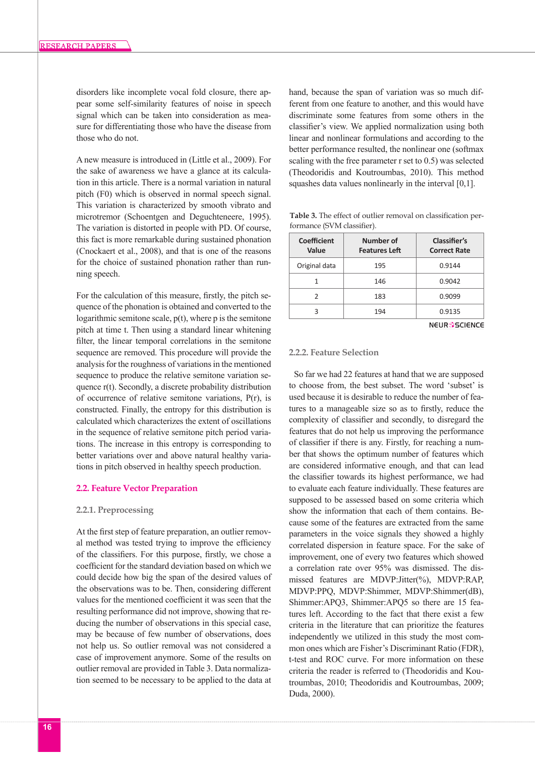disorders like incomplete vocal fold closure, there appear some self-similarity features of noise in speech signal which can be taken into consideration as measure for differentiating those who have the disease from those who do not.

A new measure is introduced in (Little et al., 2009). For the sake of awareness we have a glance at its calculation in this article. There is a normal variation in natural pitch (F0) which is observed in normal speech signal. This variation is characterized by smooth vibrato and microtremor (Schoentgen and Deguchteneere, 1995). The variation is distorted in people with PD. Of course, this fact is more remarkable during sustained phonation (Cnockaert et al., 2008), and that is one of the reasons for the choice of sustained phonation rather than running speech.

For the calculation of this measure, firstly, the pitch sequence of the phonation is obtained and converted to the logarithmic semitone scale, p(t), where p is the semitone pitch at time t. Then using a standard linear whitening filter, the linear temporal correlations in the semitone sequence are removed. This procedure will provide the analysis for the roughness of variations in the mentioned sequence to produce the relative semitone variation sequence r(t). Secondly, a discrete probability distribution of occurrence of relative semitone variations, P(r), is constructed. Finally, the entropy for this distribution is calculated which characterizes the extent of oscillations in the sequence of relative semitone pitch period variations. The increase in this entropy is corresponding to better variations over and above natural healthy variations in pitch observed in healthy speech production.

#### **2.2. Feature Vector Preparation**

#### **2.2.1. Preprocessing**

At the first step of feature preparation, an outlier removal method was tested trying to improve the efficiency of the classifiers. For this purpose, firstly, we chose a coefficient for the standard deviation based on which we could decide how big the span of the desired values of the observations was to be. Then, considering different values for the mentioned coefficient it was seen that the resulting performance did not improve, showing that reducing the number of observations in this special case, may be because of few number of observations, does not help us. So outlier removal was not considered a case of improvement anymore. Some of the results on outlier removal are provided in Table 3. Data normalization seemed to be necessary to be applied to the data at

hand, because the span of variation was so much different from one feature to another, and this would have discriminate some features from some others in the classifier's view. We applied normalization using both linear and nonlinear formulations and according to the better performance resulted, the nonlinear one (softmax scaling with the free parameter r set to 0.5) was selected (Theodoridis and Koutroumbas, 2010). This method squashes data values nonlinearly in the interval [0,1].

**Table 3.** The effect of outlier removal on classification performance (SVM classifier).

| <b>Coefficient</b><br>Value | Number of<br><b>Features Left</b> | Classifier's<br><b>Correct Rate</b> |
|-----------------------------|-----------------------------------|-------------------------------------|
| Original data               | 195                               | 0.9144                              |
|                             | 146                               | 0.9042                              |
|                             | 183                               | 0.9099                              |
| ς                           | 194                               | 0.9135                              |

**NEUR**SSCIENCE

## **2.2.2. Feature Selection**

So far we had 22 features at hand that we are supposed to choose from, the best subset. The word 'subset' is used because it is desirable to reduce the number of features to a manageable size so as to firstly, reduce the complexity of classifier and secondly, to disregard the features that do not help us improving the performance of classifier if there is any. Firstly, for reaching a number that shows the optimum number of features which are considered informative enough, and that can lead the classifier towards its highest performance, we had to evaluate each feature individually. These features are supposed to be assessed based on some criteria which show the information that each of them contains. Because some of the features are extracted from the same parameters in the voice signals they showed a highly correlated dispersion in feature space. For the sake of improvement, one of every two features which showed a correlation rate over 95% was dismissed. The dismissed features are MDVP:Jitter(%), MDVP:RAP, MDVP:PPQ, MDVP:Shimmer, MDVP:Shimmer(dB), Shimmer:APQ3, Shimmer:APQ5 so there are 15 features left. According to the fact that there exist a few criteria in the literature that can prioritize the features independently we utilized in this study the most common ones which are Fisher's Discriminant Ratio (FDR), t-test and ROC curve. For more information on these criteria the reader is referred to (Theodoridis and Koutroumbas, 2010; Theodoridis and Koutroumbas, 2009; Duda, 2000).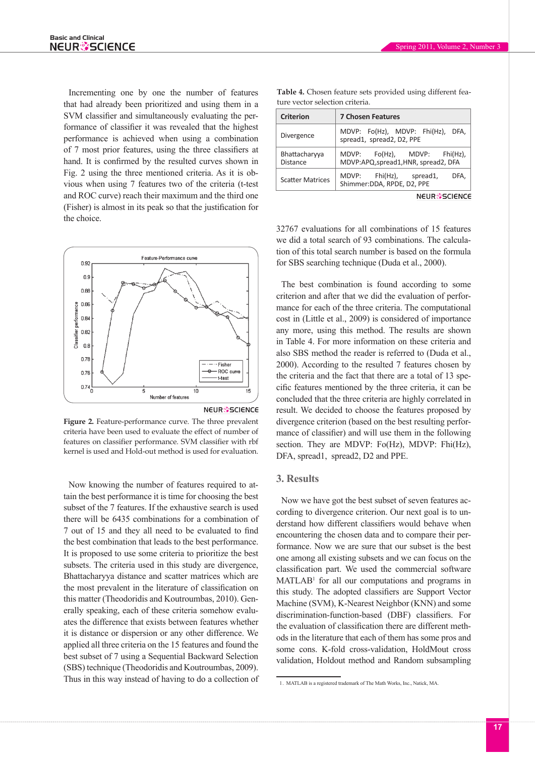Incrementing one by one the number of features that had already been prioritized and using them in a SVM classifier and simultaneously evaluating the performance of classifier it was revealed that the highest performance is achieved when using a combination of 7 most prior features, using the three classifiers at hand. It is confirmed by the resulted curves shown in Fig. 2 using the three mentioned criteria. As it is obvious when using 7 features two of the criteria (t-test and ROC curve) reach their maximum and the third one (Fisher) is almost in its peak so that the justification for the choice.



**NEUR<sup>3</sup>SCIENCE** 

**Figure 2.** Feature-performance curve. The three prevalent criteria have been used to evaluate the effect of number of features on classifier performance. SVM classifier with rbf kernel is used and Hold-out method is used for evaluation.

Now knowing the number of features required to attain the best performance it is time for choosing the best subset of the 7 features. If the exhaustive search is used there will be 6435 combinations for a combination of 7 out of 15 and they all need to be evaluated to find the best combination that leads to the best performance. It is proposed to use some criteria to prioritize the best subsets. The criteria used in this study are divergence, Bhattacharyya distance and scatter matrices which are the most prevalent in the literature of classification on this matter (Theodoridis and Koutroumbas, 2010). Generally speaking, each of these criteria somehow evaluates the difference that exists between features whether it is distance or dispersion or any other difference. We applied all three criteria on the 15 features and found the best subset of 7 using a Sequential Backward Selection (SBS) technique (Theodoridis and Koutroumbas, 2009). Thus in this way instead of having to do a collection of

| <b>Criterion</b>                 | <b>7 Chosen Features</b>                                                |  |  |  |
|----------------------------------|-------------------------------------------------------------------------|--|--|--|
| Divergence                       | MDVP: Fo(Hz), MDVP: Fhi(Hz),<br>DFA.<br>spread1, spread2, D2, PPE       |  |  |  |
| Bhattacharyya<br><b>Distance</b> | Fo(Hz), MDVP: Fhi(Hz),<br>MDVP:<br>MDVP:APQ, spread1, HNR, spread2, DFA |  |  |  |
| <b>Scatter Matrices</b>          | Fhi(Hz), spread1,<br>MDVP:<br>DFA.<br>Shimmer:DDA, RPDE, D2, PPE        |  |  |  |

**Table 4.** Chosen feature sets provided using different feature vector selection criteria.

**NEUR<sup>3</sup>SCIENCE** 

32767 evaluations for all combinations of 15 features we did a total search of 93 combinations. The calculation of this total search number is based on the formula for SBS searching technique (Duda et al., 2000).

The best combination is found according to some criterion and after that we did the evaluation of performance for each of the three criteria. The computational cost in (Little et al., 2009) is considered of importance any more, using this method. The results are shown in Table 4. For more information on these criteria and also SBS method the reader is referred to (Duda et al., 2000). According to the resulted 7 features chosen by the criteria and the fact that there are a total of 13 specific features mentioned by the three criteria, it can be concluded that the three criteria are highly correlated in result. We decided to choose the features proposed by divergence criterion (based on the best resulting performance of classifier) and will use them in the following section. They are MDVP: Fo(Hz), MDVP: Fhi(Hz), DFA, spread1, spread2, D2 and PPE.

### **3. Results**

Now we have got the best subset of seven features according to divergence criterion. Our next goal is to understand how different classifiers would behave when encountering the chosen data and to compare their performance. Now we are sure that our subset is the best one among all existing subsets and we can focus on the classification part. We used the commercial software  $MATLAB<sup>1</sup>$  for all our computations and programs in this study. The adopted classifiers are Support Vector Machine (SVM), K-Nearest Neighbor (KNN) and some discrimination-function-based (DBF) classifiers. For the evaluation of classification there are different methods in the literature that each of them has some pros and some cons. K-fold cross-validation, HoldMout cross validation, Holdout method and Random subsampling

<sup>1</sup>. MATLAB is a registered trademark of The Math Works, Inc., Natick, MA.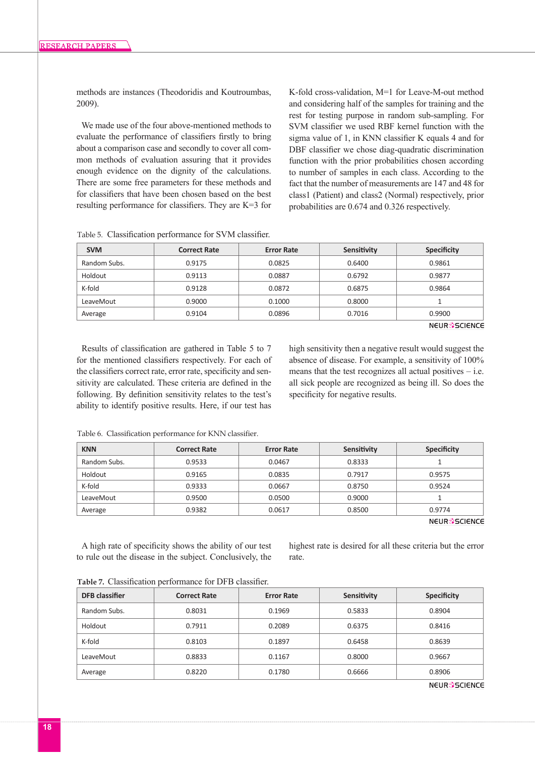methods are instances (Theodoridis and Koutroumbas, 2009).

We made use of the four above-mentioned methods to evaluate the performance of classifiers firstly to bring about a comparison case and secondly to cover all common methods of evaluation assuring that it provides enough evidence on the dignity of the calculations. There are some free parameters for these methods and for classifiers that have been chosen based on the best resulting performance for classifiers. They are K=3 for

K-fold cross-validation, M=1 for Leave-M-out method and considering half of the samples for training and the rest for testing purpose in random sub-sampling. For SVM classifier we used RBF kernel function with the sigma value of 1, in KNN classifier K equals 4 and for DBF classifier we chose diag-quadratic discrimination function with the prior probabilities chosen according to number of samples in each class. According to the fact that the number of measurements are 147 and 48 for class1 (Patient) and class2 (Normal) respectively, prior probabilities are 0.674 and 0.326 respectively.

Table 5. Classification performance for SVM classifier.

| <b>SVM</b>   | <b>Correct Rate</b> | <b>Error Rate</b> | Sensitivity | <b>Specificity</b>             |
|--------------|---------------------|-------------------|-------------|--------------------------------|
| Random Subs. | 0.9175              | 0.0825            | 0.6400      | 0.9861                         |
| Holdout      | 0.9113              | 0.0887            | 0.6792      | 0.9877                         |
| K-fold       | 0.9128              | 0.0872            | 0.6875      | 0.9864                         |
| LeaveMout    | 0.9000              | 0.1000            | 0.8000      |                                |
| Average      | 0.9104              | 0.0896            | 0.7016      | 0.9900                         |
|              |                     |                   |             | <b>NEUR<sup>8</sup>SCIENCE</b> |

Results of classification are gathered in Table 5 to 7 for the mentioned classifiers respectively. For each of the classifiers correct rate, error rate, specificity and sensitivity are calculated. These criteria are defined in the following. By definition sensitivity relates to the test's ability to identify positive results. Here, if our test has

high sensitivity then a negative result would suggest the absence of disease. For example, a sensitivity of 100% means that the test recognizes all actual positives  $-$  i.e. all sick people are recognized as being ill. So does the specificity for negative results.

| <b>KNN</b>   | <b>Correct Rate</b> | <b>Error Rate</b> | Sensitivity | <b>Specificity</b>   |
|--------------|---------------------|-------------------|-------------|----------------------|
| Random Subs. | 0.9533              | 0.0467            | 0.8333      |                      |
| Holdout      | 0.9165              | 0.0835            | 0.7917      | 0.9575               |
| K-fold       | 0.9333              | 0.0667            | 0.8750      | 0.9524               |
| LeaveMout    | 0.9500              | 0.0500            | 0.9000      |                      |
| Average      | 0.9382              | 0.0617            | 0.8500      | 0.9774               |
|              |                     |                   |             | <b>NELIR SCIENCE</b> |

Table 6. Classification performance for KNN classifier.

A high rate of specificity shows the ability of our test to rule out the disease in the subject. Conclusively, the

highest rate is desired for all these criteria but the error rate.

| <b>DFB</b> classifier | <b>Correct Rate</b> | <b>Error Rate</b> | Sensitivity | <b>Specificity</b> |
|-----------------------|---------------------|-------------------|-------------|--------------------|
| Random Subs.          | 0.8031              | 0.1969            | 0.5833      | 0.8904             |
| Holdout               | 0.7911              | 0.2089            | 0.6375      | 0.8416             |
| K-fold                | 0.8103              | 0.1897            | 0.6458      | 0.8639             |
| LeaveMout             | 0.8833              | 0.1167            | 0.8000      | 0.9667             |
| Average               | 0.8220              | 0.1780            | 0.6666      | 0.8906             |
|                       |                     |                   |             |                    |

**Table 7.** Classification performance for DFB classifier.

**NEUR<sup>3</sup>SCIENCE**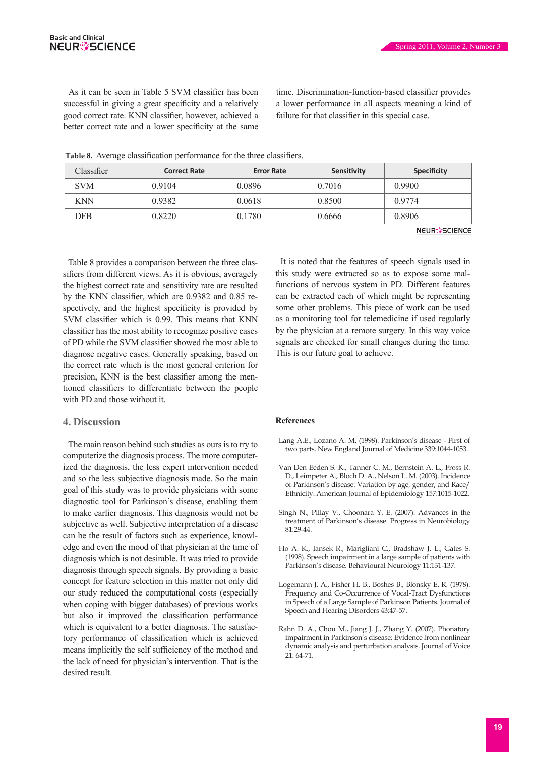As it can be seen in Table 5 SVM classifier has been successful in giving a great specificity and a relatively good correct rate. KNN classifier, however, achieved a better correct rate and a lower specificity at the same

time. Discrimination-function-based classifier provides a lower performance in all aspects meaning a kind of failure for that classifier in this special case.

| Classifier | <b>Correct Rate</b> | <b>Error Rate</b> | Sensitivity | <b>Specificity</b>   |
|------------|---------------------|-------------------|-------------|----------------------|
| <b>SVM</b> | 0.9104              | 0.0896            | 0.7016      | 0.9900               |
| <b>KNN</b> | 0.9382              | 0.0618            | 0.8500      | 0.9774               |
| DFB        | 0.8220              | 0.1780            | 0.6666      | 0.8906               |
|            |                     |                   |             | <b>NEUR</b> SSCIENCE |

**Table 8.** Average classification performance for the three classifiers.

Table 8 provides a comparison between the three classifiers from different views. As it is obvious, averagely the highest correct rate and sensitivity rate are resulted by the KNN classifier, which are 0.9382 and 0.85 respectively, and the highest specificity is provided by SVM classifier which is 0.99. This means that KNN classifier has the most ability to recognize positive cases of PD while the SVM classifier showed the most able to diagnose negative cases. Generally speaking, based on the correct rate which is the most general criterion for precision, KNN is the best classifier among the mentioned classifiers to differentiate between the people with PD and those without it.

# **4. Discussion**

The main reason behind such studies as ours is to try to computerize the diagnosis process. The more computerized the diagnosis, the less expert intervention needed and so the less subjective diagnosis made. So the main goal of this study was to provide physicians with some diagnostic tool for Parkinson's disease, enabling them to make earlier diagnosis. This diagnosis would not be subjective as well. Subjective interpretation of a disease can be the result of factors such as experience, knowledge and even the mood of that physician at the time of diagnosis which is not desirable. It was tried to provide diagnosis through speech signals. By providing a basic concept for feature selection in this matter not only did our study reduced the computational costs (especially when coping with bigger databases) of previous works but also it improved the classification performance which is equivalent to a better diagnosis. The satisfactory performance of classification which is achieved means implicitly the self sufficiency of the method and the lack of need for physician's intervention. That is the desired result.

It is noted that the features of speech signals used in this study were extracted so as to expose some malfunctions of nervous system in PD. Different features can be extracted each of which might be representing some other problems. This piece of work can be used as a monitoring tool for telemedicine if used regularly by the physician at a remote surgery. In this way voice signals are checked for small changes during the time. This is our future goal to achieve.

### **References**

- Lang A.E., Lozano A. M. (1998). Parkinson's disease First of two parts. New England Journal of Medicine 339:1044-1053.
- Van Den Eeden S. K., Tanner C. M., Bernstein A. L., Fross R. D., Leimpeter A., Bloch D. A., Nelson L. M. (2003). Incidence of Parkinson's disease: Variation by age, gender, and Race/ Ethnicity. American Journal of Epidemiology 157:1015-1022.
- Singh N., Pillay V., Choonara Y. E. (2007). Advances in the treatment of Parkinson's disease. Progress in Neurobiology 81:29-44.
- Ho A. K., Iansek R., Marigliani C., Bradshaw J. L., Gates S. (1998). Speech impairment in a large sample of patients with Parkinson's disease. Behavioural Neurology 11:131-137.
- Logemann J. A., Fisher H. B., Boshes B., Blonsky E. R. (1978). Frequency and Co-Occurrence of Vocal-Tract Dysfunctions in Speech of a Large Sample of Parkinson Patients. Journal of Speech and Hearing Disorders 43:47-57.
- Rahn D. A., Chou M., Jiang J. J., Zhang Y. (2007). Phonatory impairment in Parkinson's disease: Evidence from nonlinear dynamic analysis and perturbation analysis. Journal of Voice 21: 64-71.